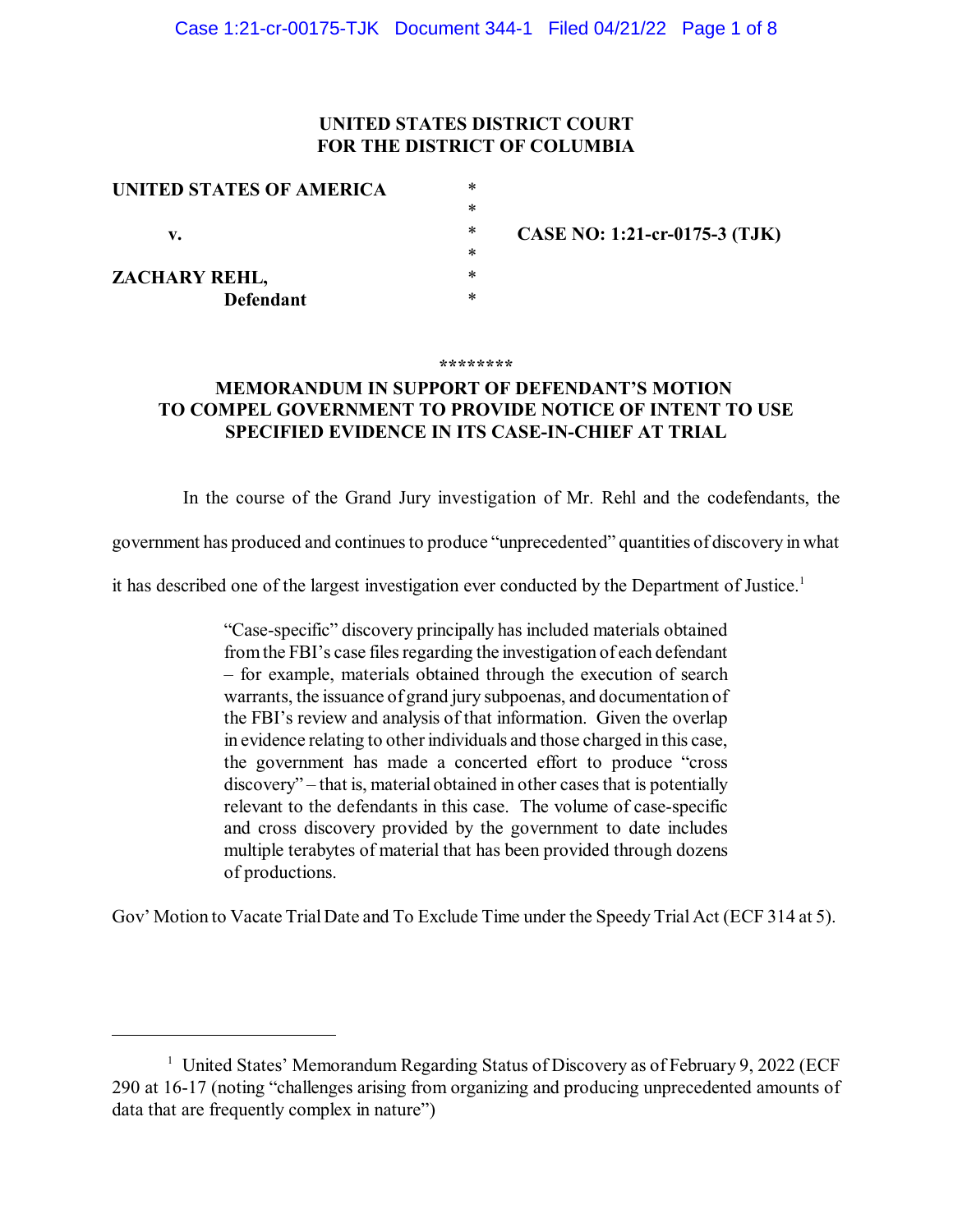### **UNITED STATES DISTRICT COURT FOR THE DISTRICT OF COLUMBIA**

| UNITED STATES OF AMERICA | $\ast$ |                               |
|--------------------------|--------|-------------------------------|
|                          | ∗      |                               |
| v.                       | ∗      | CASE NO: 1:21-cr-0175-3 (TJK) |
|                          | ∗      |                               |
| ZACHARY REHL,            | ∗      |                               |
| <b>Defendant</b>         | ∗      |                               |

#### **\*\*\*\*\*\*\*\***

## **MEMORANDUM IN SUPPORT OF DEFENDANT'S MOTION TO COMPEL GOVERNMENT TO PROVIDE NOTICE OF INTENT TO USE SPECIFIED EVIDENCE IN ITS CASE-IN-CHIEF AT TRIAL**

In the course of the Grand Jury investigation of Mr. Rehl and the codefendants, the

government has produced and continuesto produce "unprecedented" quantities of discovery in what

it has described one of the largest investigation ever conducted by the Department of Justice.<sup>1</sup>

"Case-specific" discovery principally has included materials obtained from the FBI's case files regarding the investigation of each defendant – for example, materials obtained through the execution of search warrants, the issuance of grand jury subpoenas, and documentation of the FBI's review and analysis of that information. Given the overlap in evidence relating to other individuals and those charged in this case, the government has made a concerted effort to produce "cross discovery" – that is, material obtained in other cases that is potentially relevant to the defendants in this case. The volume of case-specific and cross discovery provided by the government to date includes multiple terabytes of material that has been provided through dozens of productions.

Gov' Motion to Vacate TrialDate and To Exclude Time under the Speedy Trial Act (ECF 314 at 5).

<sup>&</sup>lt;sup>1</sup> United States' Memorandum Regarding Status of Discovery as of February 9, 2022 (ECF 290 at 16-17 (noting "challenges arising from organizing and producing unprecedented amounts of data that are frequently complex in nature")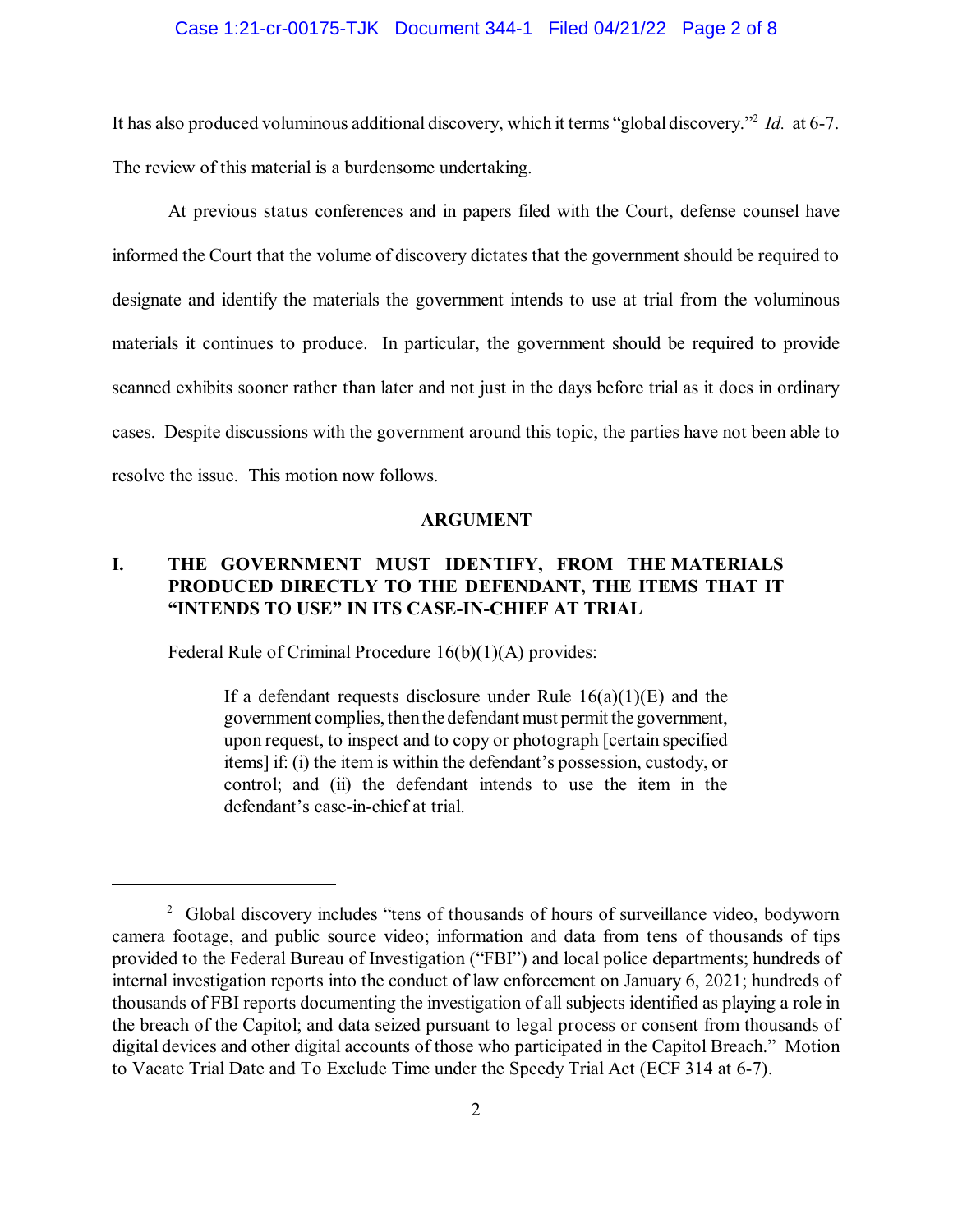### Case 1:21-cr-00175-TJK Document 344-1 Filed 04/21/22 Page 2 of 8

It has also produced voluminous additional discovery, which it terms "global discovery."<sup>2</sup> Id. at 6-7. The review of this material is a burdensome undertaking.

At previous status conferences and in papers filed with the Court, defense counsel have informed the Court that the volume of discovery dictates that the government should be required to designate and identify the materials the government intends to use at trial from the voluminous materials it continues to produce. In particular, the government should be required to provide scanned exhibits sooner rather than later and not just in the days before trial as it does in ordinary cases. Despite discussions with the government around this topic, the parties have not been able to resolve the issue. This motion now follows.

#### **ARGUMENT**

## **I. THE GOVERNMENT MUST IDENTIFY, FROM THE MATERIALS PRODUCED DIRECTLY TO THE DEFENDANT, THE ITEMS THAT IT "INTENDS TO USE" IN ITS CASE-IN-CHIEF AT TRIAL**

Federal Rule of Criminal Procedure 16(b)(1)(A) provides:

If a defendant requests disclosure under Rule  $16(a)(1)(E)$  and the government complies, thenthe defendant must permit the government, upon request, to inspect and to copy or photograph [certain specified items] if: (i) the item is within the defendant's possession, custody, or control; and (ii) the defendant intends to use the item in the defendant's case-in-chief at trial.

<sup>&</sup>lt;sup>2</sup> Global discovery includes "tens of thousands of hours of surveillance video, bodyworn camera footage, and public source video; information and data from tens of thousands of tips provided to the Federal Bureau of Investigation ("FBI") and local police departments; hundreds of internal investigation reports into the conduct of law enforcement on January 6, 2021; hundreds of thousands of FBI reports documenting the investigation of all subjects identified as playing a role in the breach of the Capitol; and data seized pursuant to legal process or consent from thousands of digital devices and other digital accounts of those who participated in the Capitol Breach." Motion to Vacate Trial Date and To Exclude Time under the Speedy Trial Act (ECF 314 at 6-7).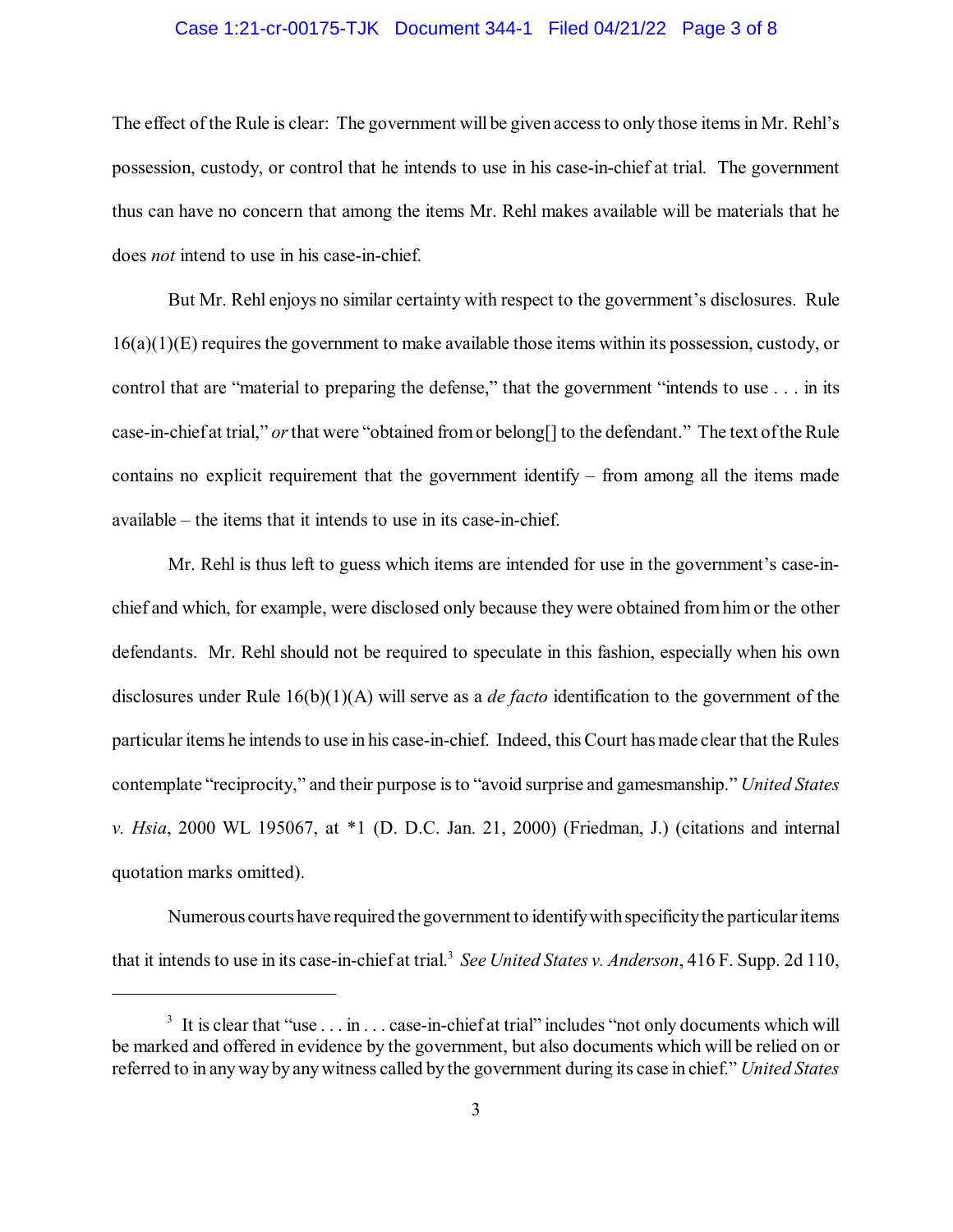### Case 1:21-cr-00175-TJK Document 344-1 Filed 04/21/22 Page 3 of 8

The effect of the Rule is clear: The government will be given access to only those items in Mr. Rehl's possession, custody, or control that he intends to use in his case-in-chief at trial. The government thus can have no concern that among the items Mr. Rehl makes available will be materials that he does *not* intend to use in his case-in-chief.

But Mr. Rehl enjoys no similar certainty with respect to the government's disclosures. Rule 16(a)(1)(E) requires the government to make available those items within its possession, custody, or control that are "material to preparing the defense," that the government "intends to use . . . in its case-in-chief at trial," *or*that were "obtained fromor belong[] to the defendant." The text ofthe Rule contains no explicit requirement that the government identify – from among all the items made available – the items that it intends to use in its case-in-chief.

Mr. Rehl is thus left to guess which items are intended for use in the government's case-inchief and which, for example, were disclosed only because they were obtained fromhim or the other defendants. Mr. Rehl should not be required to speculate in this fashion, especially when his own disclosures under Rule 16(b)(1)(A) will serve as a *de facto* identification to the government of the particular items he intends to use in his case-in-chief. Indeed, this Court has made clear that the Rules contemplate "reciprocity," and their purpose isto "avoid surprise and gamesmanship." *United States v. Hsia*, 2000 WL 195067, at \*1 (D. D.C. Jan. 21, 2000) (Friedman, J.) (citations and internal quotation marks omitted).

Numerous courts have required the government to identify with specificity the particular items that it intends to use in its case-in-chief at trial.<sup>3</sup> See United States *v. Anderson*, 416 F. Supp. 2d 110,

<sup>&</sup>lt;sup>3</sup> It is clear that "use  $\dots$  in  $\dots$  case-in-chief at trial" includes "not only documents which will be marked and offered in evidence by the government, but also documents which will be relied on or referred to in anywayby anywitness called by the government during its case in chief." *United States*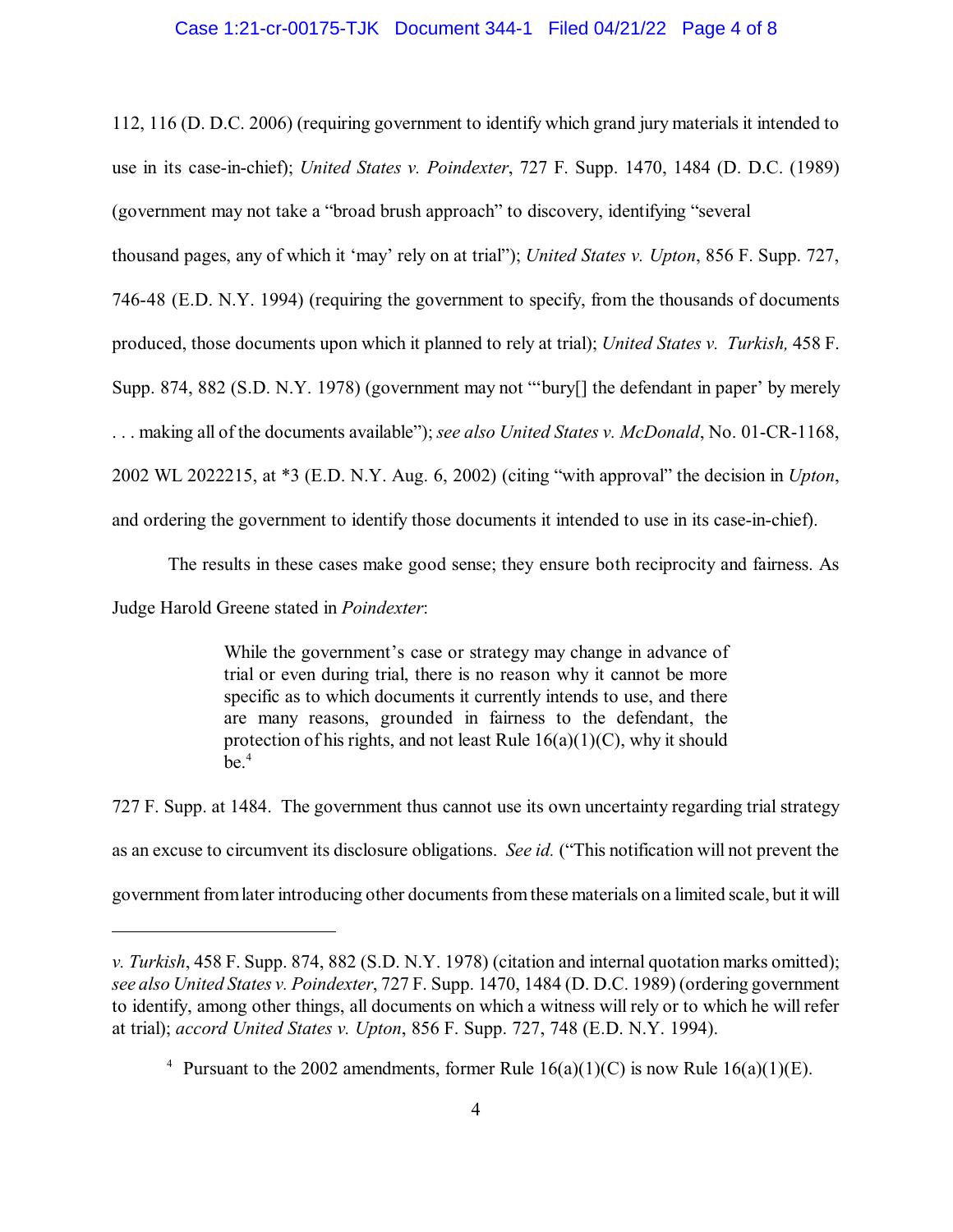#### Case 1:21-cr-00175-TJK Document 344-1 Filed 04/21/22 Page 4 of 8

112, 116 (D. D.C. 2006) (requiring government to identify which grand jury materials it intended to use in its case-in-chief); *United States v. Poindexter*, 727 F. Supp. 1470, 1484 (D. D.C. (1989) (government may not take a "broad brush approach" to discovery, identifying "several

thousand pages, any of which it 'may' rely on at trial"); *United States v. Upton*, 856 F. Supp. 727,

746-48 (E.D. N.Y. 1994) (requiring the government to specify, from the thousands of documents

produced, those documents upon which it planned to rely at trial); *United States v. Turkish,* 458 F.

Supp. 874, 882 (S.D. N.Y. 1978) (government may not "'bury[] the defendant in paper' by merely

. . . making all of the documents available"); *see also United States v. McDonald*, No. 01-CR-1168,

2002 WL 2022215, at \*3 (E.D. N.Y. Aug. 6, 2002) (citing "with approval" the decision in *Upton*,

and ordering the government to identify those documents it intended to use in its case-in-chief).

The results in these cases make good sense; they ensure both reciprocity and fairness. As

Judge Harold Greene stated in *Poindexter*:

While the government's case or strategy may change in advance of trial or even during trial, there is no reason why it cannot be more specific as to which documents it currently intends to use, and there are many reasons, grounded in fairness to the defendant, the protection of his rights, and not least Rule  $16(a)(1)(C)$ , why it should  $be.4$ 

727 F. Supp. at 1484. The government thus cannot use its own uncertainty regarding trial strategy as an excuse to circumvent its disclosure obligations. *See id.* ("This notification will not prevent the government fromlater introducing other documentsfromthese materials on a limited scale, but it will

*v. Turkish*, 458 F. Supp. 874, 882 (S.D. N.Y. 1978) (citation and internal quotation marks omitted); *see also United States v. Poindexter*, 727 F. Supp. 1470, 1484 (D. D.C. 1989) (ordering government to identify, among other things, all documents on which a witness will rely or to which he will refer at trial); *accord United States v. Upton*, 856 F. Supp. 727, 748 (E.D. N.Y. 1994).

<sup>&</sup>lt;sup>4</sup> Pursuant to the 2002 amendments, former Rule  $16(a)(1)(C)$  is now Rule  $16(a)(1)(E)$ .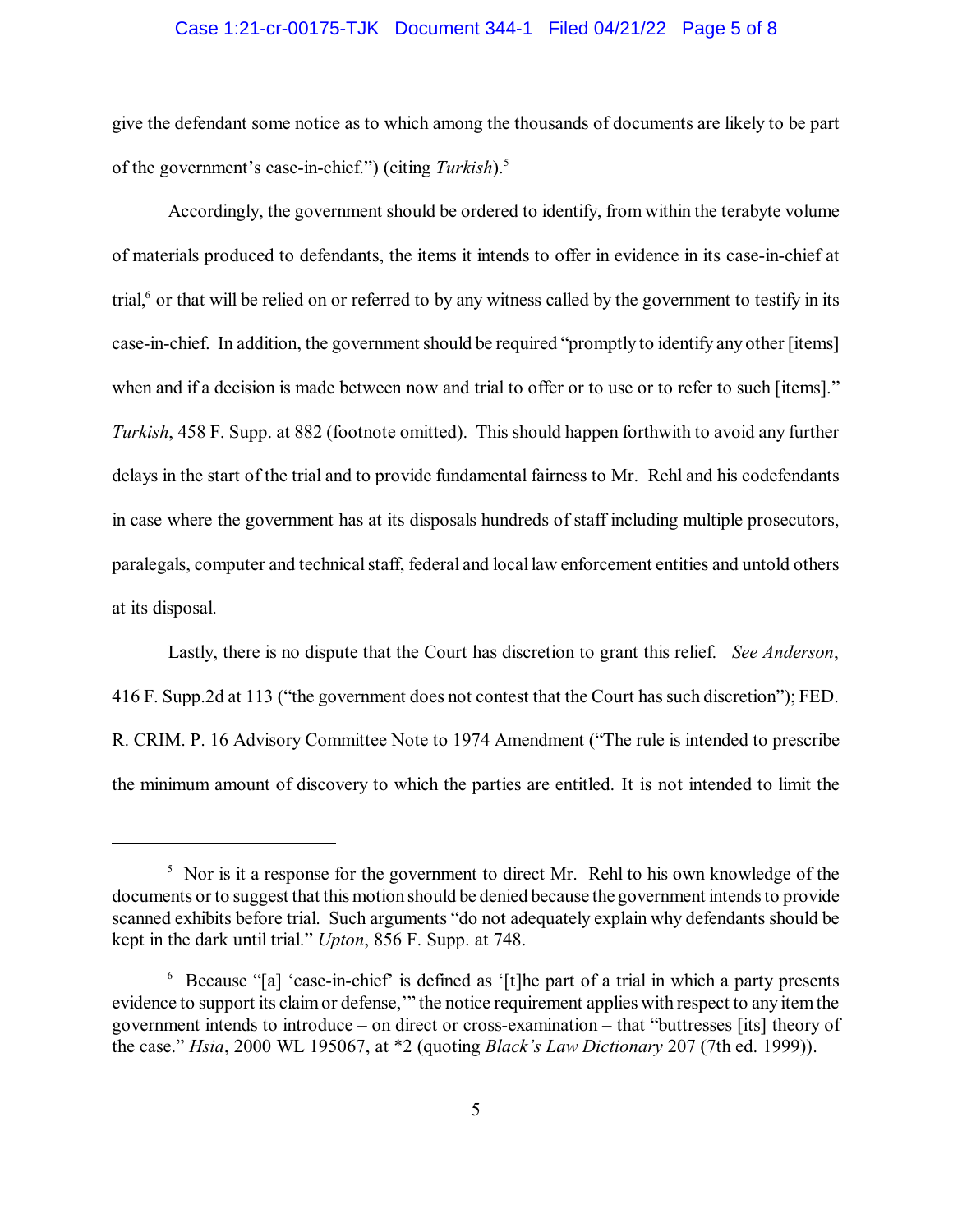### Case 1:21-cr-00175-TJK Document 344-1 Filed 04/21/22 Page 5 of 8

give the defendant some notice as to which among the thousands of documents are likely to be part of the government's case-in-chief.") (citing *Turkish*).<sup>5</sup>

Accordingly, the government should be ordered to identify, from within the terabyte volume of materials produced to defendants, the items it intends to offer in evidence in its case-in-chief at trial, $6$  or that will be relied on or referred to by any witness called by the government to testify in its case-in-chief. In addition, the government should be required "promptly to identify any other [items] when and if a decision is made between now and trial to offer or to use or to refer to such [items]." *Turkish*, 458 F. Supp. at 882 (footnote omitted). This should happen forthwith to avoid any further delays in the start of the trial and to provide fundamental fairness to Mr. Rehl and his codefendants in case where the government has at its disposals hundreds of staff including multiple prosecutors, paralegals, computer and technical staff, federal and local law enforcement entities and untold others at its disposal.

Lastly, there is no dispute that the Court has discretion to grant this relief. *See Anderson*, 416 F. Supp.2d at 113 ("the government does not contest that the Court hassuch discretion"); FED. R. CRIM. P. 16 Advisory Committee Note to 1974 Amendment ("The rule is intended to prescribe the minimum amount of discovery to which the parties are entitled. It is not intended to limit the

<sup>&</sup>lt;sup>5</sup> Nor is it a response for the government to direct Mr. Rehl to his own knowledge of the documents or to suggest that this motion should be denied because the government intends to provide scanned exhibits before trial. Such arguments "do not adequately explain why defendants should be kept in the dark until trial." *Upton*, 856 F. Supp. at 748.

<sup>&</sup>lt;sup>6</sup> Because "[a] 'case-in-chief' is defined as '[t]he part of a trial in which a party presents evidence to support its claimor defense,'" the notice requirement applies with respect to any itemthe government intends to introduce – on direct or cross-examination – that "buttresses [its] theory of the case." *Hsia*, 2000 WL 195067, at \*2 (quoting *Black's Law Dictionary* 207 (7th ed. 1999)).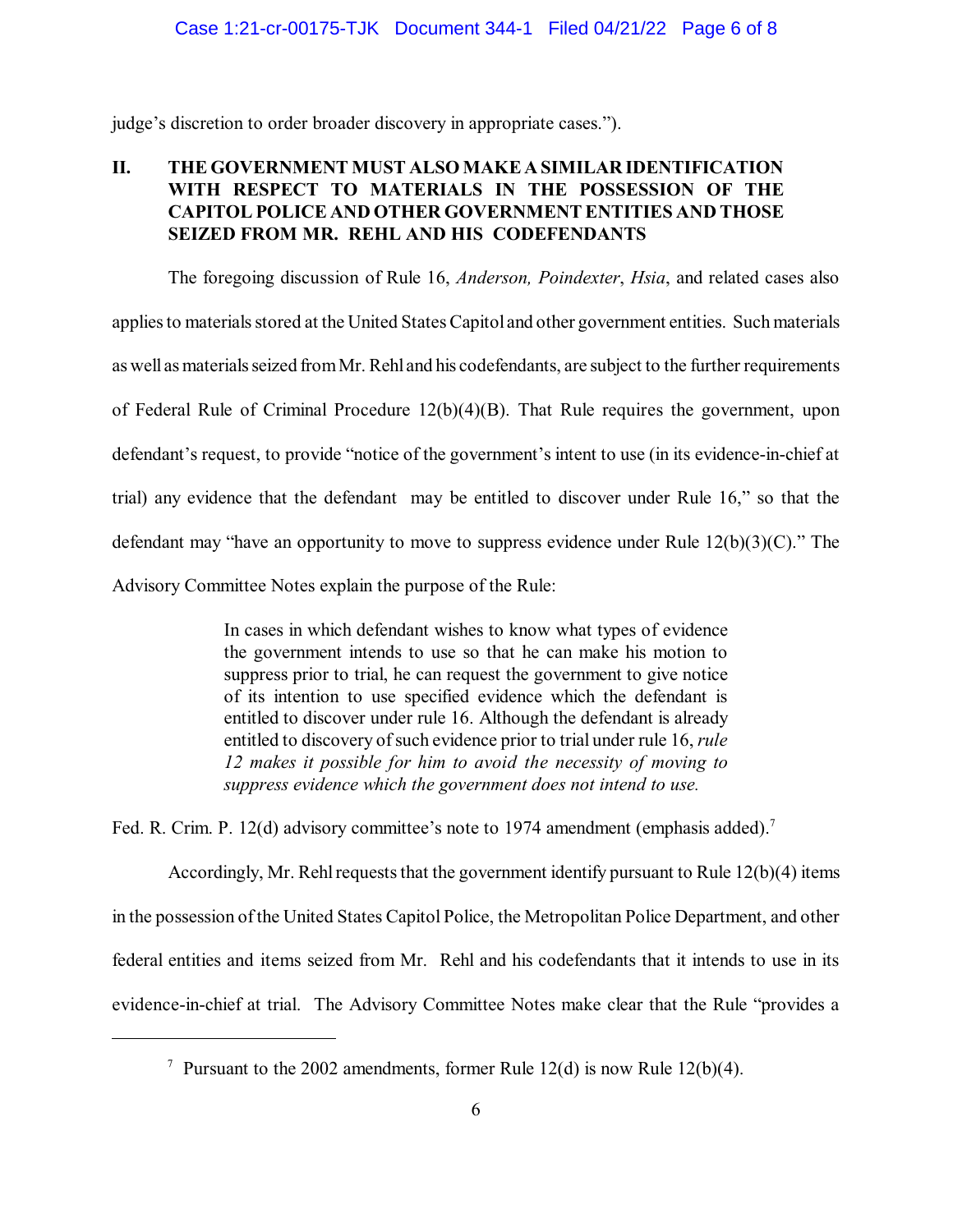judge's discretion to order broader discovery in appropriate cases.").

# **II. THE GOVERNMENT MUST ALSO MAKE A SIMILAR IDENTIFICATION WITH RESPECT TO MATERIALS IN THE POSSESSION OF THE CAPITOL POLICE AND OTHER GOVERNMENT ENTITIES AND THOSE SEIZED FROM MR. REHL AND HIS CODEFENDANTS**

The foregoing discussion of Rule 16, *Anderson, Poindexter*, *Hsia*, and related cases also applies to materials stored at the United States Capitol and other government entities. Such materials as well as materials seized from Mr. Rehl and his codefendants, are subject to the further requirements of Federal Rule of Criminal Procedure 12(b)(4)(B). That Rule requires the government, upon defendant's request, to provide "notice of the government's intent to use (in its evidence-in-chief at trial) any evidence that the defendant may be entitled to discover under Rule 16," so that the defendant may "have an opportunity to move to suppress evidence under Rule 12(b)(3)(C)." The Advisory Committee Notes explain the purpose of the Rule:

> In cases in which defendant wishes to know what types of evidence the government intends to use so that he can make his motion to suppress prior to trial, he can request the government to give notice of its intention to use specified evidence which the defendant is entitled to discover under rule 16. Although the defendant is already entitled to discovery of such evidence prior to trial under rule 16, *rule 12 makes it possible for him to avoid the necessity of moving to suppress evidence which the government does not intend to use.*

Fed. R. Crim. P. 12(d) advisory committee's note to 1974 amendment (emphasis added).<sup>7</sup>

Accordingly, Mr. Rehl requests that the government identify pursuant to Rule  $12(b)(4)$  items in the possession ofthe United States Capitol Police, the Metropolitan Police Department, and other federal entities and items seized from Mr. Rehl and his codefendants that it intends to use in its evidence-in-chief at trial. The Advisory Committee Notes make clear that the Rule "provides a

<sup>&</sup>lt;sup>7</sup> Pursuant to the 2002 amendments, former Rule 12(d) is now Rule 12(b)(4).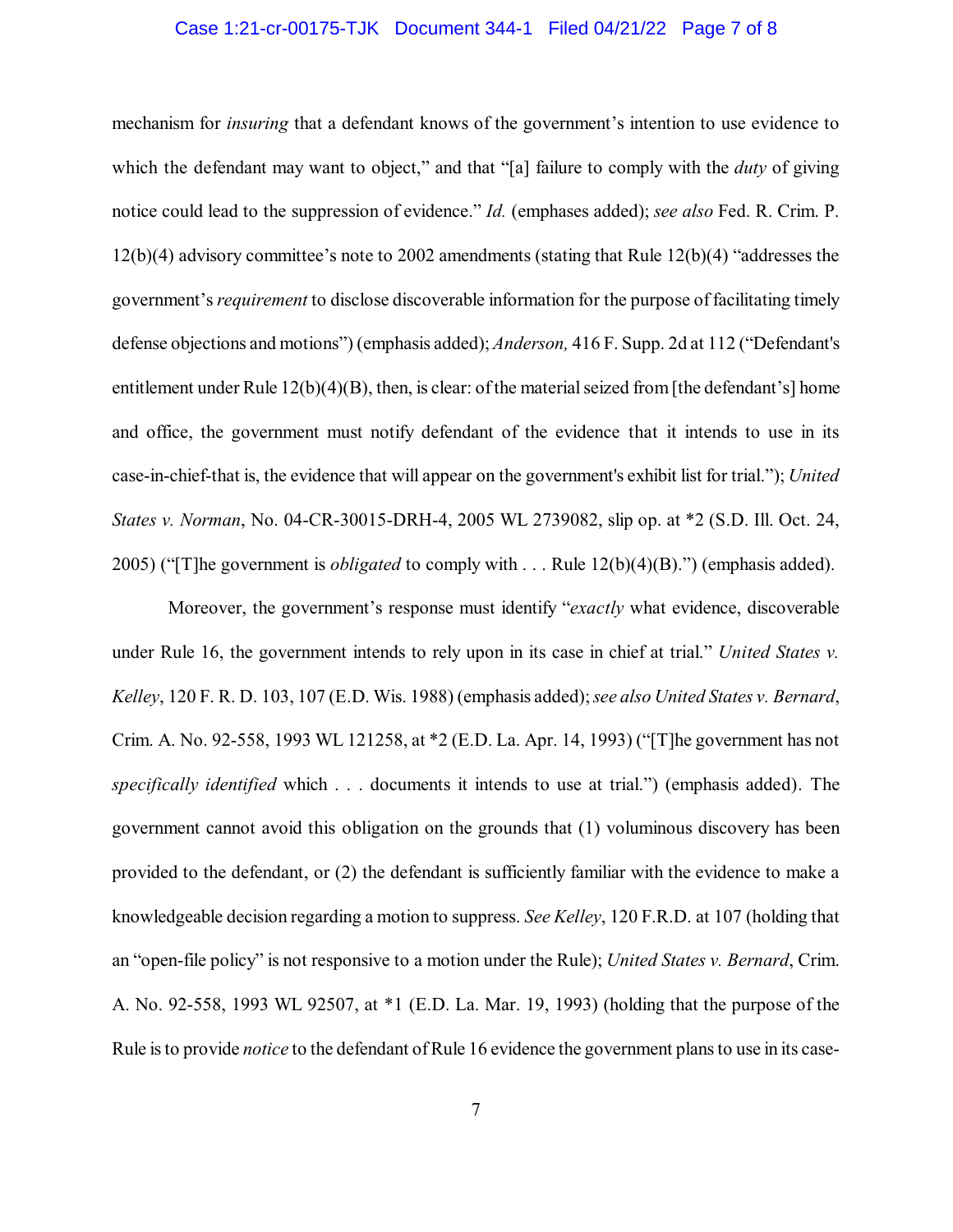### Case 1:21-cr-00175-TJK Document 344-1 Filed 04/21/22 Page 7 of 8

mechanism for *insuring* that a defendant knows of the government's intention to use evidence to which the defendant may want to object," and that "[a] failure to comply with the *duty* of giving notice could lead to the suppression of evidence." *Id.* (emphases added); *see also* Fed. R. Crim. P. 12(b)(4) advisory committee's note to 2002 amendments (stating that Rule 12(b)(4) "addresses the government's*requirement* to disclose discoverable information for the purpose of facilitating timely defense objections and motions") (emphasis added); *Anderson,* 416 F. Supp. 2d at 112 ("Defendant's entitlement under Rule 12(b)(4)(B), then, is clear: of the material seized from [the defendant's] home and office, the government must notify defendant of the evidence that it intends to use in its case-in-chief-that is, the evidence that will appear on the government's exhibit list for trial."); *United States v. Norman*, No. 04-CR-30015-DRH-4, 2005 WL 2739082, slip op. at \*2 (S.D. Ill. Oct. 24, 2005) ("[T]he government is *obligated* to comply with . . . Rule 12(b)(4)(B).") (emphasis added).

Moreover, the government's response must identify "*exactly* what evidence, discoverable under Rule 16, the government intends to rely upon in its case in chief at trial." *United States v. Kelley*, 120 F. R. D. 103, 107 (E.D. Wis. 1988) (emphasis added);*see also United States v. Bernard*, Crim. A. No. 92-558, 1993 WL 121258, at \*2 (E.D. La. Apr. 14, 1993) ("[T]he government has not *specifically identified* which . . . documents it intends to use at trial.") (emphasis added). The government cannot avoid this obligation on the grounds that (1) voluminous discovery has been provided to the defendant, or (2) the defendant is sufficiently familiar with the evidence to make a knowledgeable decision regarding a motion to suppress. *See Kelley*, 120 F.R.D. at 107 (holding that an "open-file policy" is not responsive to a motion under the Rule); *United States v. Bernard*, Crim. A. No. 92-558, 1993 WL 92507, at \*1 (E.D. La. Mar. 19, 1993) (holding that the purpose of the Rule isto provide *notice* to the defendant ofRule 16 evidence the government plansto use in its case-